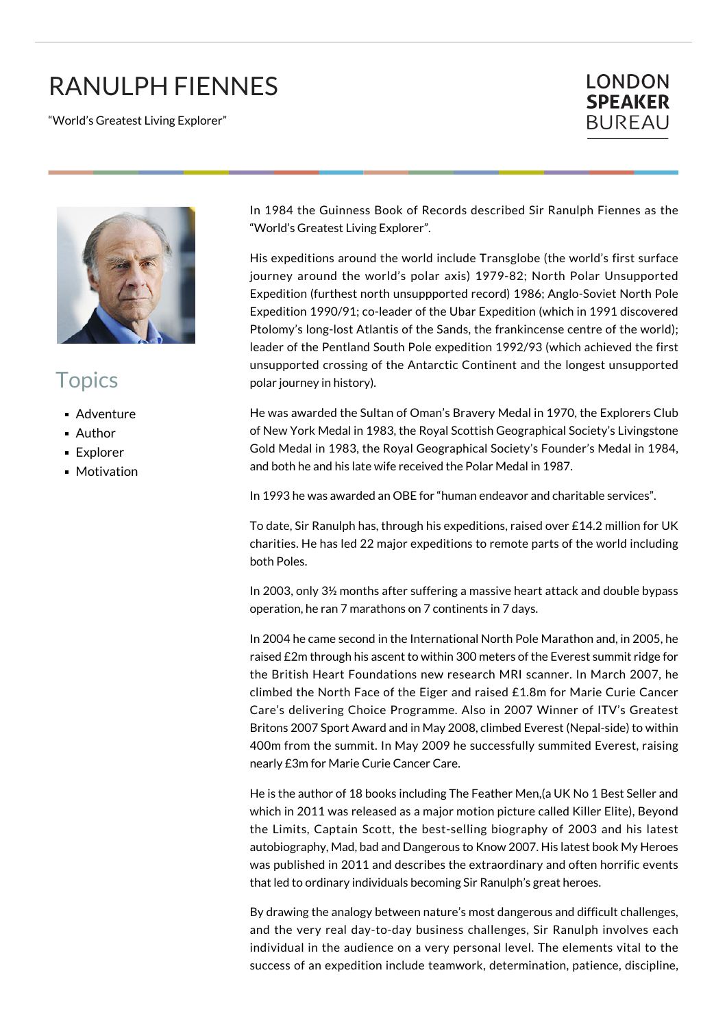## RANULPH FIENNES

"World's Greatest Living Explorer"





## **Topics**

- **Adventure**
- Author
- Explorer
- **Motivation**

In 1984 the Guinness Book of Records described Sir Ranulph Fiennes as the "World's Greatest Living Explorer".

His expeditions around the world include Transglobe (the world's first surface journey around the world's polar axis) 1979-82; North Polar Unsupported Expedition (furthest north unsuppported record) 1986; Anglo-Soviet North Pole Expedition 1990/91; co-leader of the Ubar Expedition (which in 1991 discovered Ptolomy's long-lost Atlantis of the Sands, the frankincense centre of the world); leader of the Pentland South Pole expedition 1992/93 (which achieved the first unsupported crossing of the Antarctic Continent and the longest unsupported polar journey in history).

He was awarded the Sultan of Oman's Bravery Medal in 1970, the Explorers Club of New York Medal in 1983, the Royal Scottish Geographical Society's Livingstone Gold Medal in 1983, the Royal Geographical Society's Founder's Medal in 1984, and both he and his late wife received the Polar Medal in 1987.

In 1993 he was awarded an OBE for "human endeavor and charitable services".

To date, Sir Ranulph has, through his expeditions, raised over £14.2 million for UK charities. He has led 22 major expeditions to remote parts of the world including both Poles.

In 2003, only 3½ months after suffering a massive heart attack and double bypass operation, he ran 7 marathons on 7 continents in 7 days.

In 2004 he came second in the International North Pole Marathon and, in 2005, he raised £2m through his ascent to within 300 meters of the Everest summit ridge for the British Heart Foundations new research MRI scanner. In March 2007, he climbed the North Face of the Eiger and raised £1.8m for Marie Curie Cancer Care's delivering Choice Programme. Also in 2007 Winner of ITV's Greatest Britons 2007 Sport Award and in May 2008, climbed Everest (Nepal-side) to within 400m from the summit. In May 2009 he successfully summited Everest, raising nearly £3m for Marie Curie Cancer Care.

He is the author of 18 books including The Feather Men,(a UK No 1 Best Seller and which in 2011 was released as a major motion picture called Killer Elite), Beyond the Limits, Captain Scott, the best-selling biography of 2003 and his latest autobiography, Mad, bad and Dangerous to Know 2007. His latest book My Heroes was published in 2011 and describes the extraordinary and often horrific events that led to ordinary individuals becoming Sir Ranulph's great heroes.

By drawing the analogy between nature's most dangerous and difficult challenges, and the very real day-to-day business challenges, Sir Ranulph involves each individual in the audience on a very personal level. The elements vital to the success of an expedition include teamwork, determination, patience, discipline,